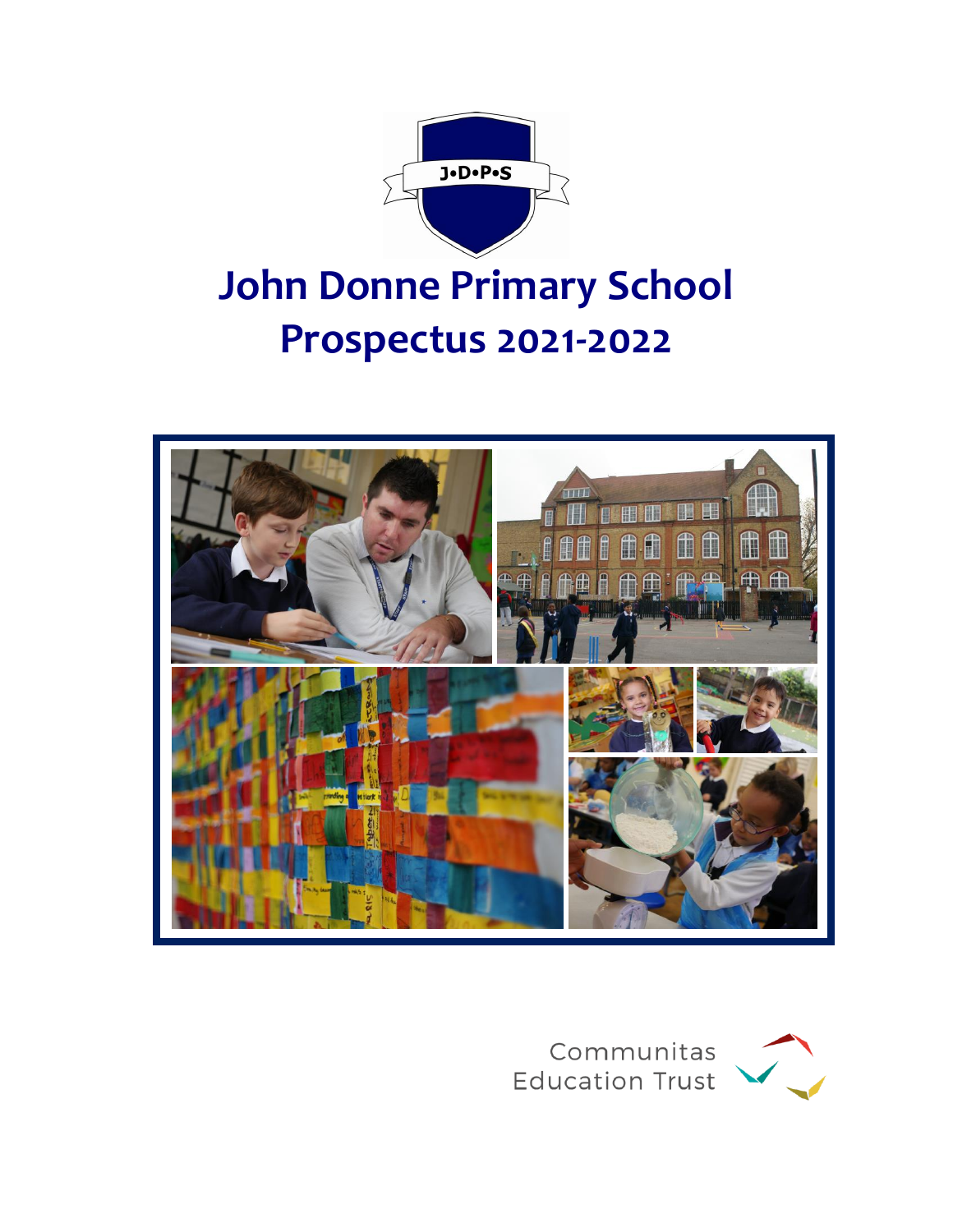

# **John Donne Primary School Prospectus 2021-2022**



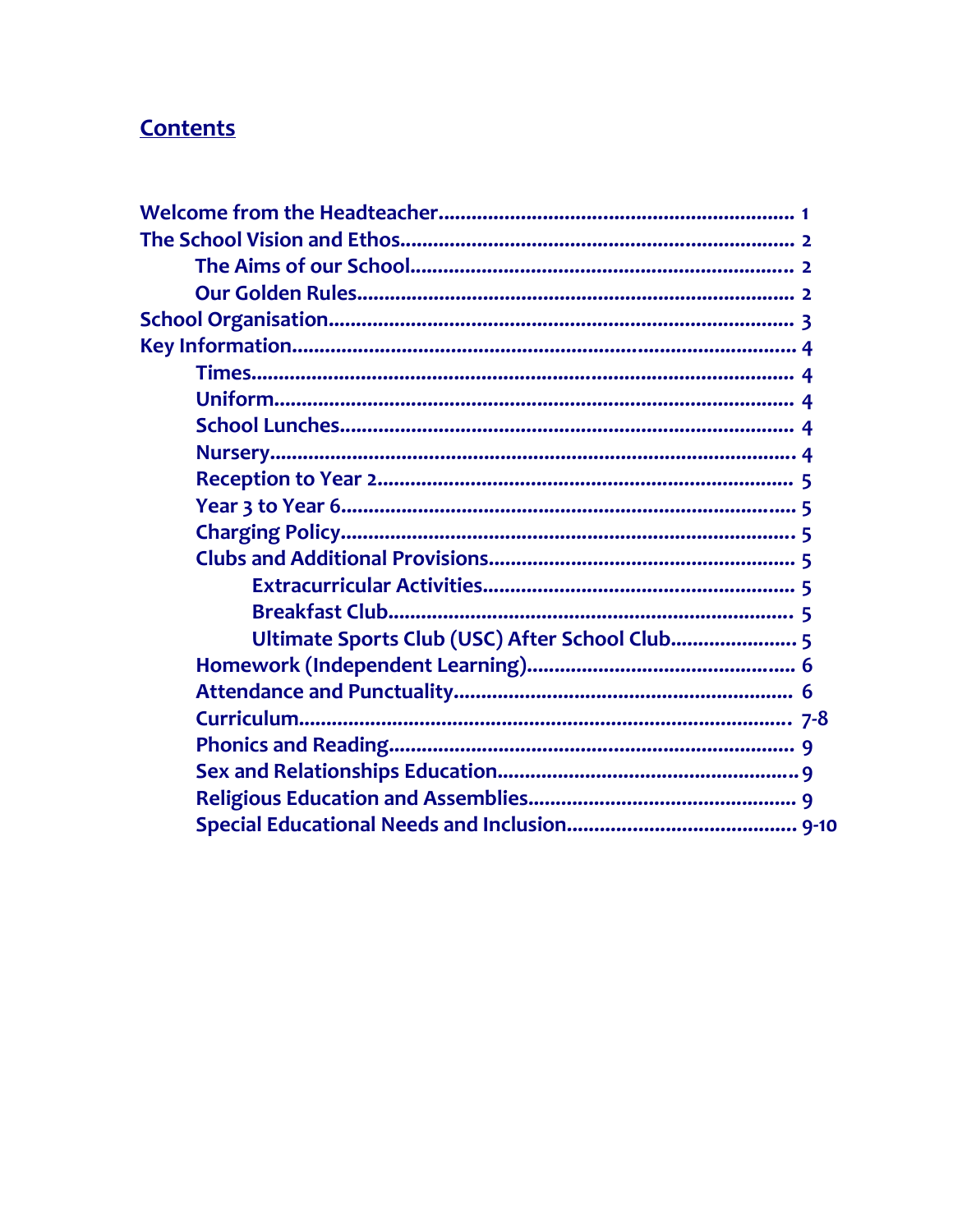# **Contents**

| Ultimate Sports Club (USC) After School Club 5 |  |
|------------------------------------------------|--|
|                                                |  |
|                                                |  |
|                                                |  |
|                                                |  |
|                                                |  |
|                                                |  |
|                                                |  |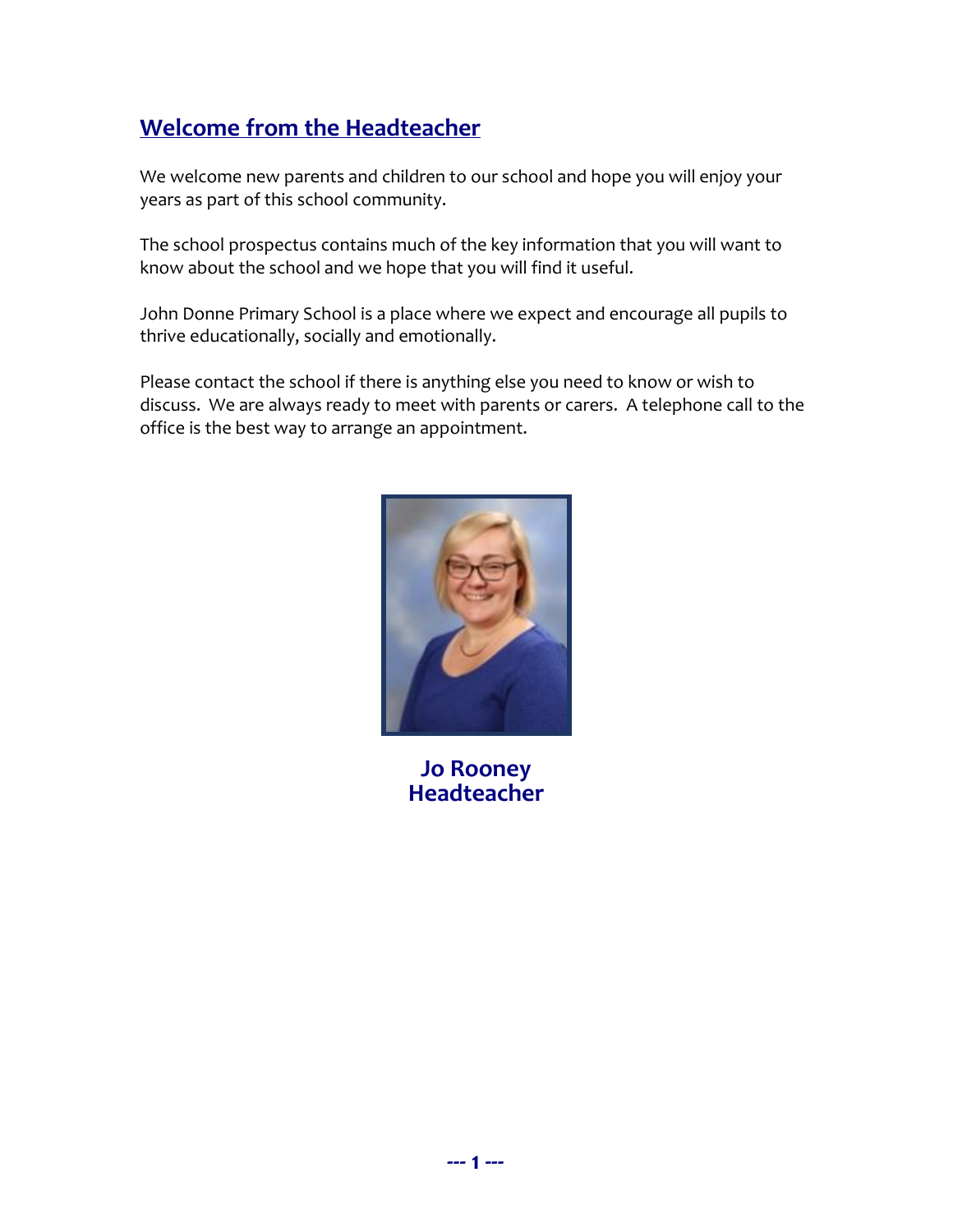# **Welcome from the Headteacher**

We welcome new parents and children to our school and hope you will enjoy your years as part of this school community.

The school prospectus contains much of the key information that you will want to know about the school and we hope that you will find it useful.

John Donne Primary School is a place where we expect and encourage all pupils to thrive educationally, socially and emotionally.

Please contact the school if there is anything else you need to know or wish to discuss. We are always ready to meet with parents or carers. A telephone call to the office is the best way to arrange an appointment.



**Jo Rooney Headteacher**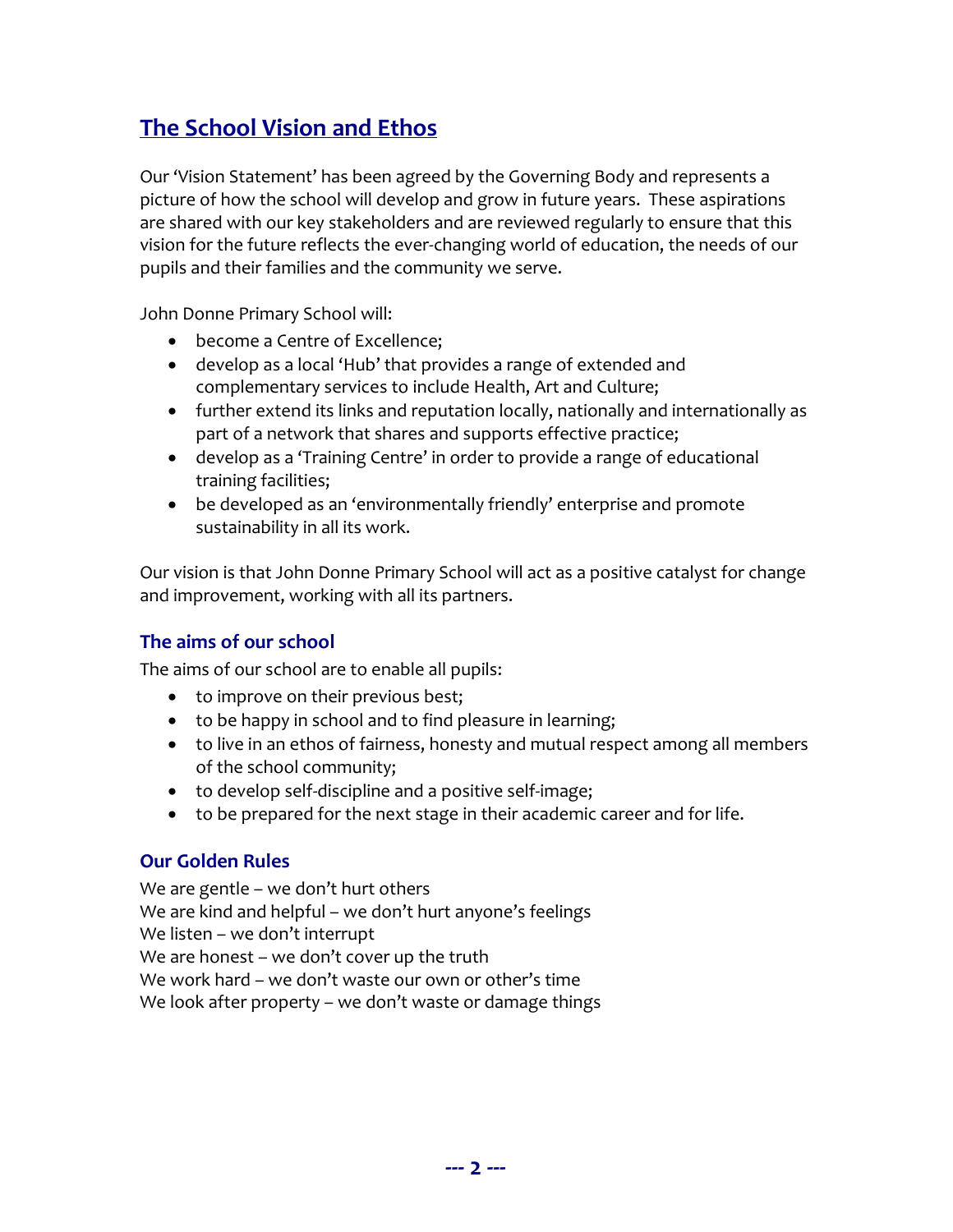# **The School Vision and Ethos**

Our 'Vision Statement' has been agreed by the Governing Body and represents a picture of how the school will develop and grow in future years. These aspirations are shared with our key stakeholders and are reviewed regularly to ensure that this vision for the future reflects the ever-changing world of education, the needs of our pupils and their families and the community we serve.

John Donne Primary School will:

- become a Centre of Excellence;
- develop as a local 'Hub' that provides a range of extended and complementary services to include Health, Art and Culture;
- further extend its links and reputation locally, nationally and internationally as part of a network that shares and supports effective practice;
- develop as a 'Training Centre' in order to provide a range of educational training facilities;
- be developed as an 'environmentally friendly' enterprise and promote sustainability in all its work.

Our vision is that John Donne Primary School will act as a positive catalyst for change and improvement, working with all its partners.

## **The aims of our school**

The aims of our school are to enable all pupils:

- to improve on their previous best;
- to be happy in school and to find pleasure in learning;
- to live in an ethos of fairness, honesty and mutual respect among all members of the school community;
- to develop self-discipline and a positive self-image;
- to be prepared for the next stage in their academic career and for life.

# **Our Golden Rules**

We are gentle – we don't hurt others We are kind and helpful – we don't hurt anyone's feelings We listen – we don't interrupt We are honest – we don't cover up the truth We work hard – we don't waste our own or other's time We look after property – we don't waste or damage things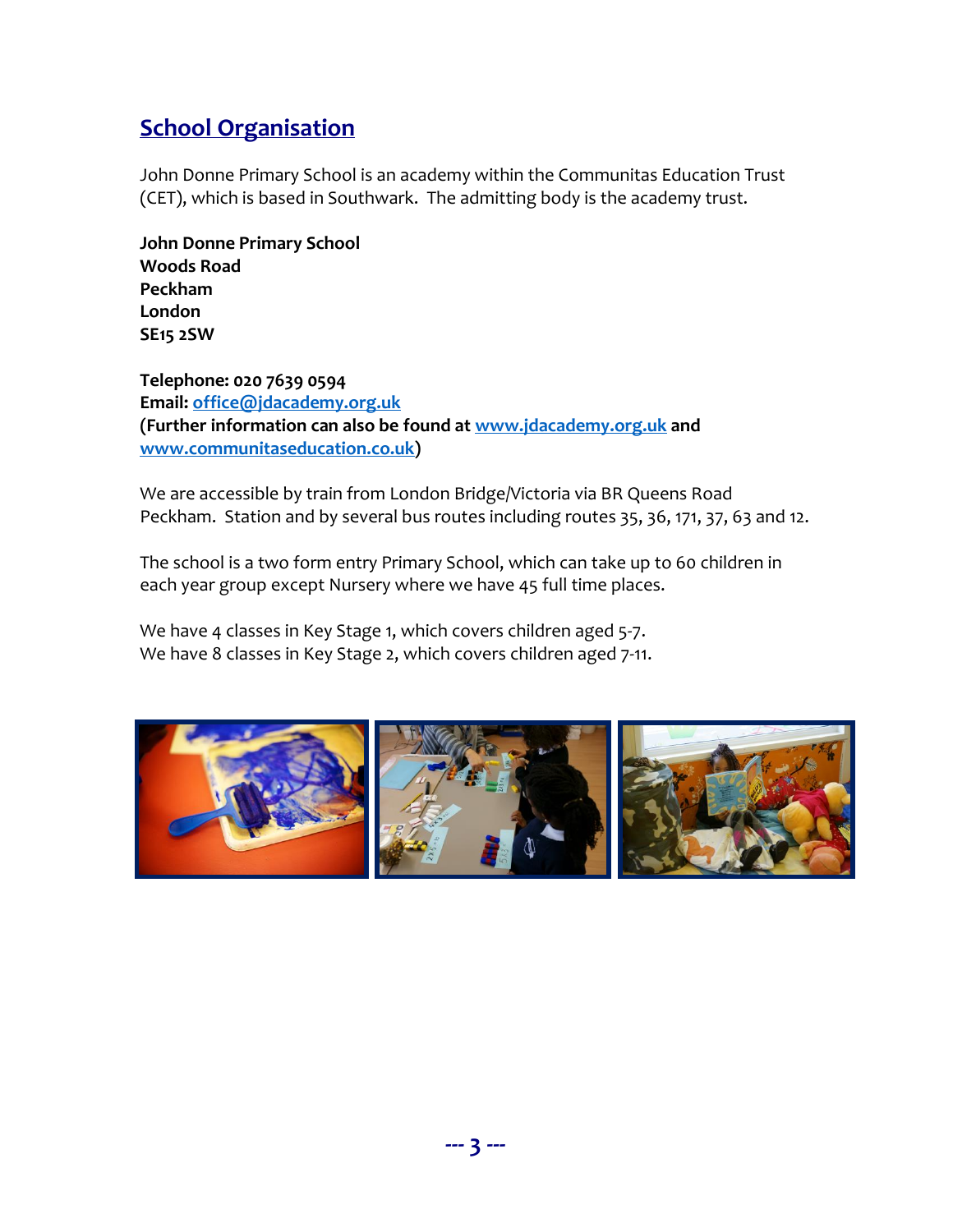# **School Organisation**

John Donne Primary School is an academy within the Communitas Education Trust (CET), which is based in Southwark. The admitting body is the academy trust.

**John Donne Primary School Woods Road Peckham London SE15 2SW**

**Telephone: 020 7639 0594 Email: [office@jdacademy.org.uk](mailto:office@jdacademy.org.uk) (Further information can also be found at [www.jdacademy.org.uk](http://www.jdacademy.org.uk/) and [www.communitaseducation.co.uk\)](http://www.communitaseducation.co.uk/)**

We are accessible by train from London Bridge/Victoria via BR Queens Road Peckham. Station and by several bus routes including routes 35, 36, 171, 37, 63 and 12.

The school is a two form entry Primary School, which can take up to 60 children in each year group except Nursery where we have 45 full time places.

We have 4 classes in Key Stage 1, which covers children aged 5-7. We have 8 classes in Key Stage 2, which covers children aged 7-11.

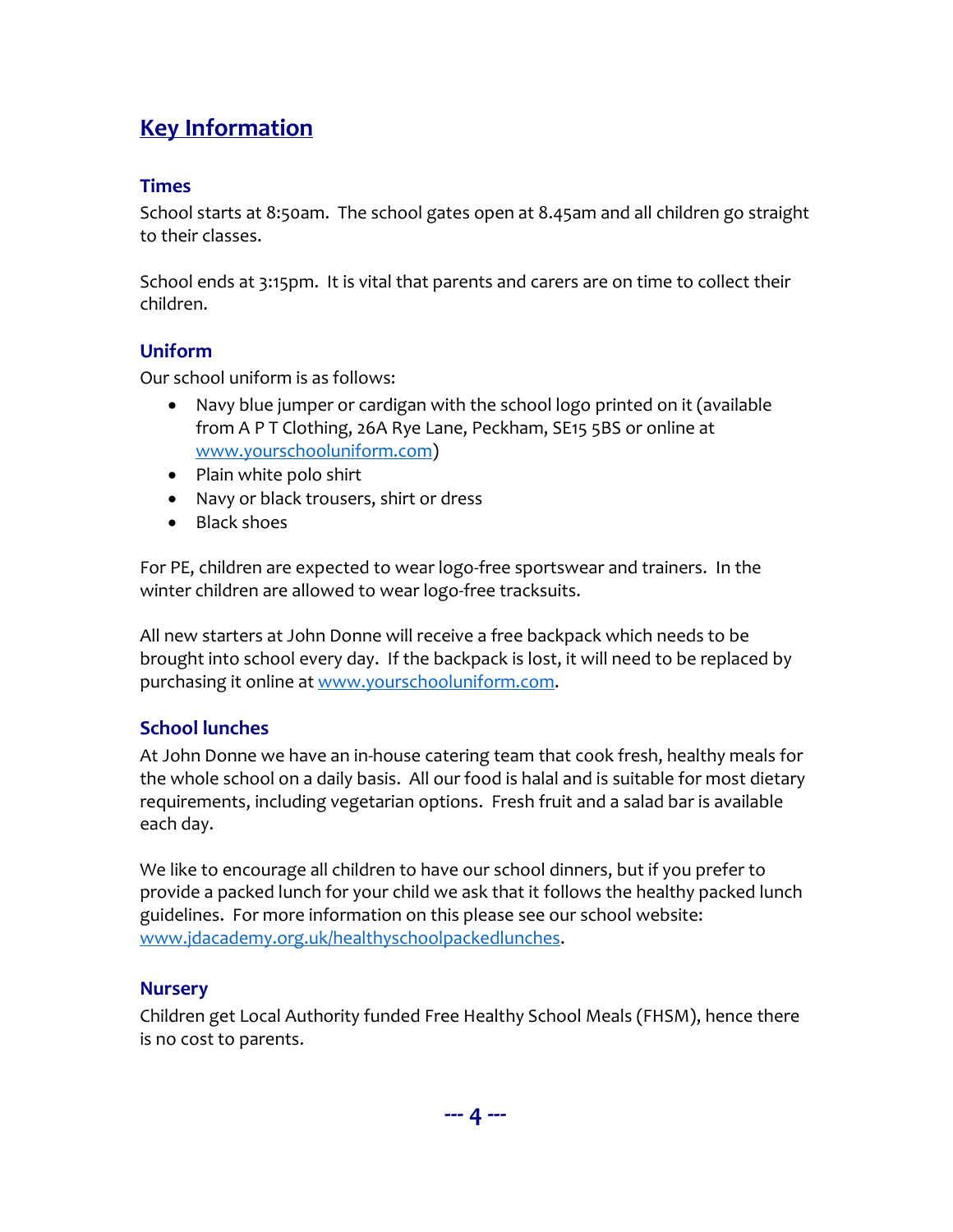# **Key Information**

## **Times**

School starts at 8:50am. The school gates open at 8.45am and all children go straight to their classes.

School ends at 3:15pm. It is vital that parents and carers are on time to collect their children.

## **Uniform**

Our school uniform is as follows:

- Navy blue jumper or cardigan with the school logo printed on it (available from A P T Clothing, 26A Rye Lane, Peckham, SE15 5BS or online at [www.yourschooluniform.com\)](http://www.yourschooluniform.com/)
- Plain white polo shirt
- Navy or black trousers, shirt or dress
- Black shoes

For PE, children are expected to wear logo-free sportswear and trainers. In the winter children are allowed to wear logo-free tracksuits.

All new starters at John Donne will receive a free backpack which needs to be brought into school every day. If the backpack is lost, it will need to be replaced by purchasing it online at [www.yourschooluniform.com.](http://www.yourschooluniform.com/)

# **School lunches**

At John Donne we have an in-house catering team that cook fresh, healthy meals for the whole school on a daily basis. All our food is halal and is suitable for most dietary requirements, including vegetarian options. Fresh fruit and a salad bar is available each day.

We like to encourage all children to have our school dinners, but if you prefer to provide a packed lunch for your child we ask that it follows the healthy packed lunch guidelines. For more information on this please see our school website: [www.jdacademy.org.uk/healthyschoolpackedlunches.](http://www.jdacademy.org.uk/healthyschoolpackedlunches)

## **Nursery**

Children get Local Authority funded Free Healthy School Meals (FHSM), hence there is no cost to parents.

**--- 4 ---**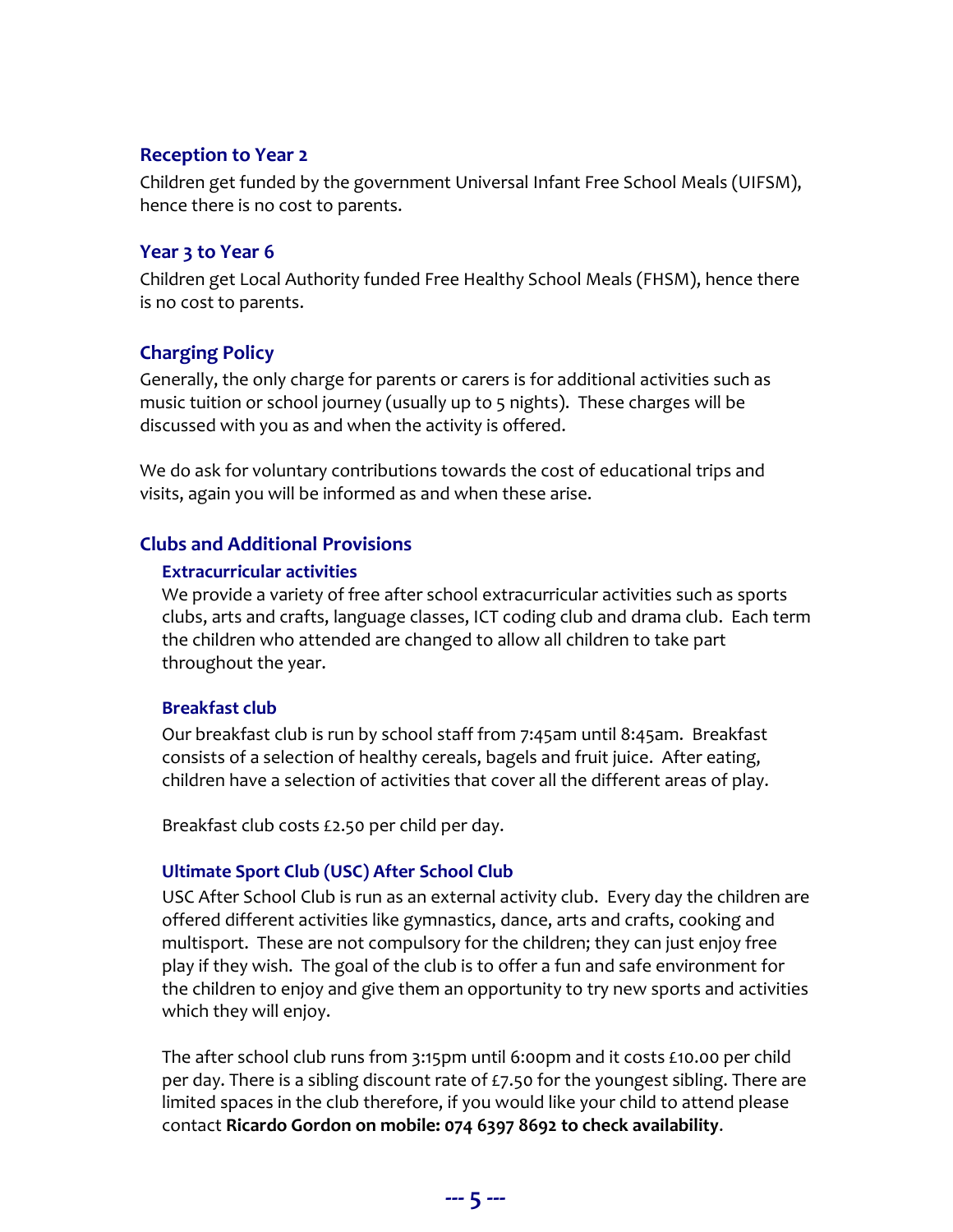#### **Reception to Year 2**

Children get funded by the government Universal Infant Free School Meals (UIFSM), hence there is no cost to parents.

#### **Year 3 to Year 6**

Children get Local Authority funded Free Healthy School Meals (FHSM), hence there is no cost to parents.

#### **Charging Policy**

Generally, the only charge for parents or carers is for additional activities such as music tuition or school journey (usually up to 5 nights). These charges will be discussed with you as and when the activity is offered.

We do ask for voluntary contributions towards the cost of educational trips and visits, again you will be informed as and when these arise.

#### **Clubs and Additional Provisions**

#### **Extracurricular activities**

We provide a variety of free after school extracurricular activities such as sports clubs, arts and crafts, language classes, ICT coding club and drama club. Each term the children who attended are changed to allow all children to take part throughout the year.

#### **Breakfast club**

Our breakfast club is run by school staff from 7:45am until 8:45am. Breakfast consists of a selection of healthy cereals, bagels and fruit juice. After eating, children have a selection of activities that cover all the different areas of play.

Breakfast club costs £2.50 per child per day.

#### **Ultimate Sport Club (USC) After School Club**

USC After School Club is run as an external activity club. Every day the children are offered different activities like gymnastics, dance, arts and crafts, cooking and multisport. These are not compulsory for the children; they can just enjoy free play if they wish. The goal of the club is to offer a fun and safe environment for the children to enjoy and give them an opportunity to try new sports and activities which they will enjoy.

The after school club runs from 3:15pm until 6:00pm and it costs £10.00 per child per day. There is a sibling discount rate of £7.50 for the youngest sibling. There are limited spaces in the club therefore, if you would like your child to attend please contact **Ricardo Gordon on mobile: 074 6397 8692 to check availability**.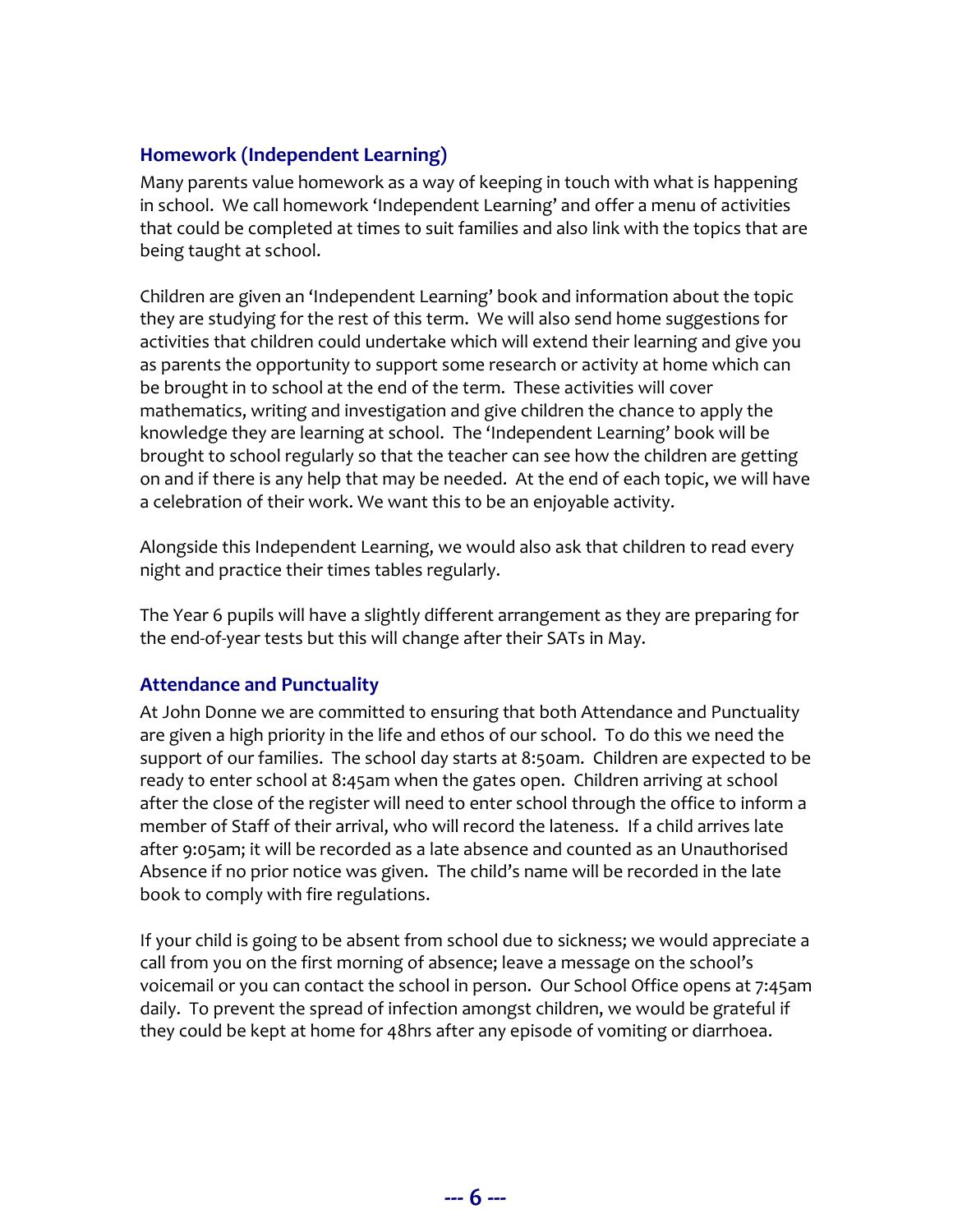#### **Homework (Independent Learning)**

Many parents value homework as a way of keeping in touch with what is happening in school. We call homework 'Independent Learning' and offer a menu of activities that could be completed at times to suit families and also link with the topics that are being taught at school.

Children are given an 'Independent Learning' book and information about the topic they are studying for the rest of this term. We will also send home suggestions for activities that children could undertake which will extend their learning and give you as parents the opportunity to support some research or activity at home which can be brought in to school at the end of the term. These activities will cover mathematics, writing and investigation and give children the chance to apply the knowledge they are learning at school. The 'Independent Learning' book will be brought to school regularly so that the teacher can see how the children are getting on and if there is any help that may be needed. At the end of each topic, we will have a celebration of their work. We want this to be an enjoyable activity.

Alongside this Independent Learning, we would also ask that children to read every night and practice their times tables regularly.

The Year 6 pupils will have a slightly different arrangement as they are preparing for the end-of-year tests but this will change after their SATs in May.

#### **Attendance and Punctuality**

At John Donne we are committed to ensuring that both Attendance and Punctuality are given a high priority in the life and ethos of our school. To do this we need the support of our families. The school day starts at 8:50am. Children are expected to be ready to enter school at 8:45am when the gates open. Children arriving at school after the close of the register will need to enter school through the office to inform a member of Staff of their arrival, who will record the lateness. If a child arrives late after 9:05am; it will be recorded as a late absence and counted as an Unauthorised Absence if no prior notice was given. The child's name will be recorded in the late book to comply with fire regulations.

If your child is going to be absent from school due to sickness; we would appreciate a call from you on the first morning of absence; leave a message on the school's voicemail or you can contact the school in person. Our School Office opens at 7:45am daily. To prevent the spread of infection amongst children, we would be grateful if they could be kept at home for 48hrs after any episode of vomiting or diarrhoea.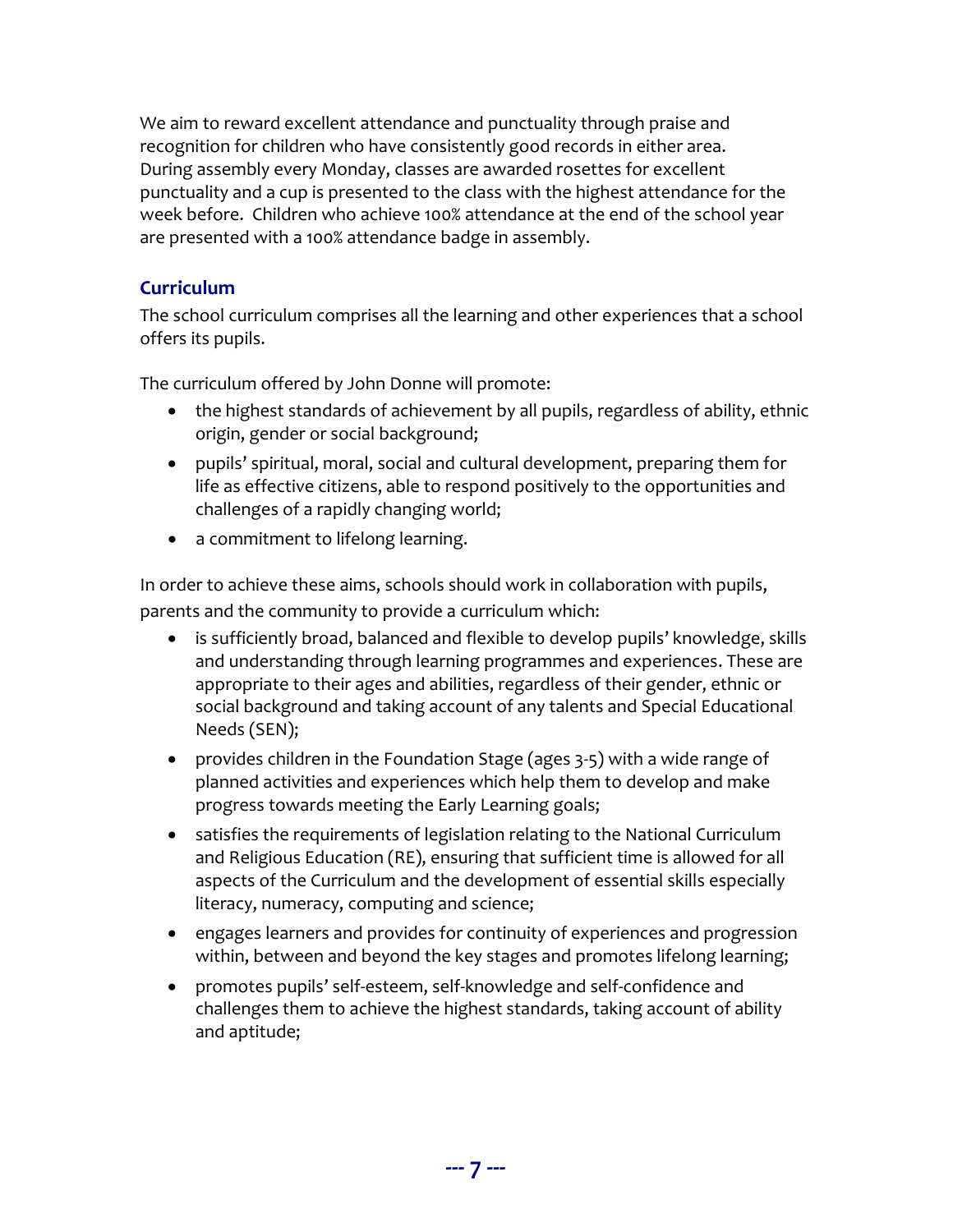We aim to reward excellent attendance and punctuality through praise and recognition for children who have consistently good records in either area. During assembly every Monday, classes are awarded rosettes for excellent punctuality and a cup is presented to the class with the highest attendance for the week before. Children who achieve 100% attendance at the end of the school year are presented with a 100% attendance badge in assembly.

## **Curriculum**

The school curriculum comprises all the learning and other experiences that a school offers its pupils.

The curriculum offered by John Donne will promote:

- the highest standards of achievement by all pupils, regardless of ability, ethnic origin, gender or social background;
- pupils' spiritual, moral, social and cultural development, preparing them for life as effective citizens, able to respond positively to the opportunities and challenges of a rapidly changing world;
- a commitment to lifelong learning.

In order to achieve these aims, schools should work in collaboration with pupils, parents and the community to provide a curriculum which:

- is sufficiently broad, balanced and flexible to develop pupils' knowledge, skills and understanding through learning programmes and experiences. These are appropriate to their ages and abilities, regardless of their gender, ethnic or social background and taking account of any talents and Special Educational Needs (SEN);
- provides children in the Foundation Stage (ages 3-5) with a wide range of planned activities and experiences which help them to develop and make progress towards meeting the Early Learning goals;
- satisfies the requirements of legislation relating to the National Curriculum and Religious Education (RE), ensuring that sufficient time is allowed for all aspects of the Curriculum and the development of essential skills especially literacy, numeracy, computing and science;
- engages learners and provides for continuity of experiences and progression within, between and beyond the key stages and promotes lifelong learning;
- promotes pupils' self-esteem, self-knowledge and self-confidence and challenges them to achieve the highest standards, taking account of ability and aptitude;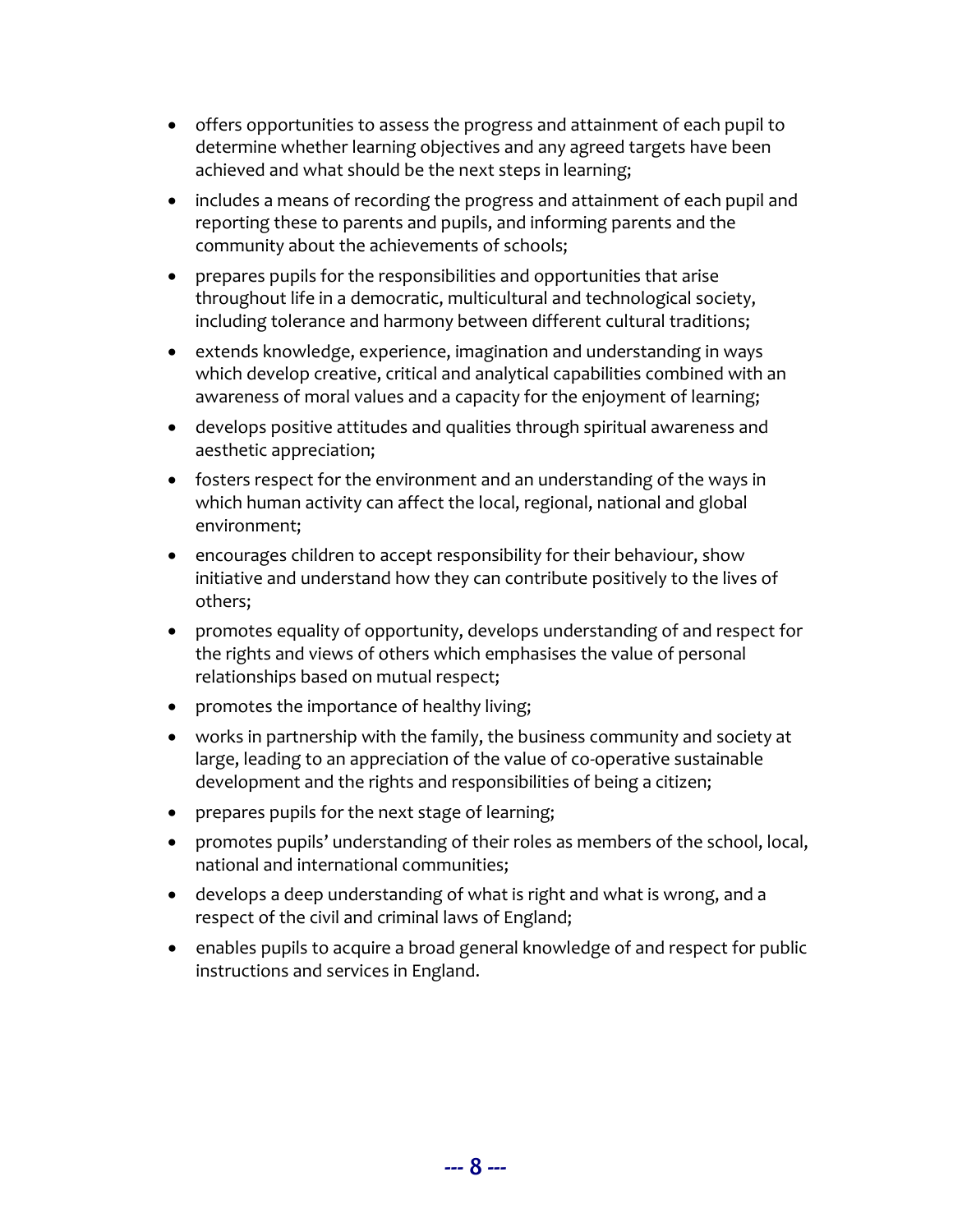- offers opportunities to assess the progress and attainment of each pupil to determine whether learning objectives and any agreed targets have been achieved and what should be the next steps in learning;
- includes a means of recording the progress and attainment of each pupil and reporting these to parents and pupils, and informing parents and the community about the achievements of schools;
- prepares pupils for the responsibilities and opportunities that arise throughout life in a democratic, multicultural and technological society, including tolerance and harmony between different cultural traditions;
- extends knowledge, experience, imagination and understanding in ways which develop creative, critical and analytical capabilities combined with an awareness of moral values and a capacity for the enjoyment of learning;
- develops positive attitudes and qualities through spiritual awareness and aesthetic appreciation;
- fosters respect for the environment and an understanding of the ways in which human activity can affect the local, regional, national and global environment;
- encourages children to accept responsibility for their behaviour, show initiative and understand how they can contribute positively to the lives of others;
- promotes equality of opportunity, develops understanding of and respect for the rights and views of others which emphasises the value of personal relationships based on mutual respect;
- promotes the importance of healthy living;
- works in partnership with the family, the business community and society at large, leading to an appreciation of the value of co-operative sustainable development and the rights and responsibilities of being a citizen;
- prepares pupils for the next stage of learning;
- promotes pupils' understanding of their roles as members of the school, local, national and international communities;
- develops a deep understanding of what is right and what is wrong, and a respect of the civil and criminal laws of England;
- enables pupils to acquire a broad general knowledge of and respect for public instructions and services in England.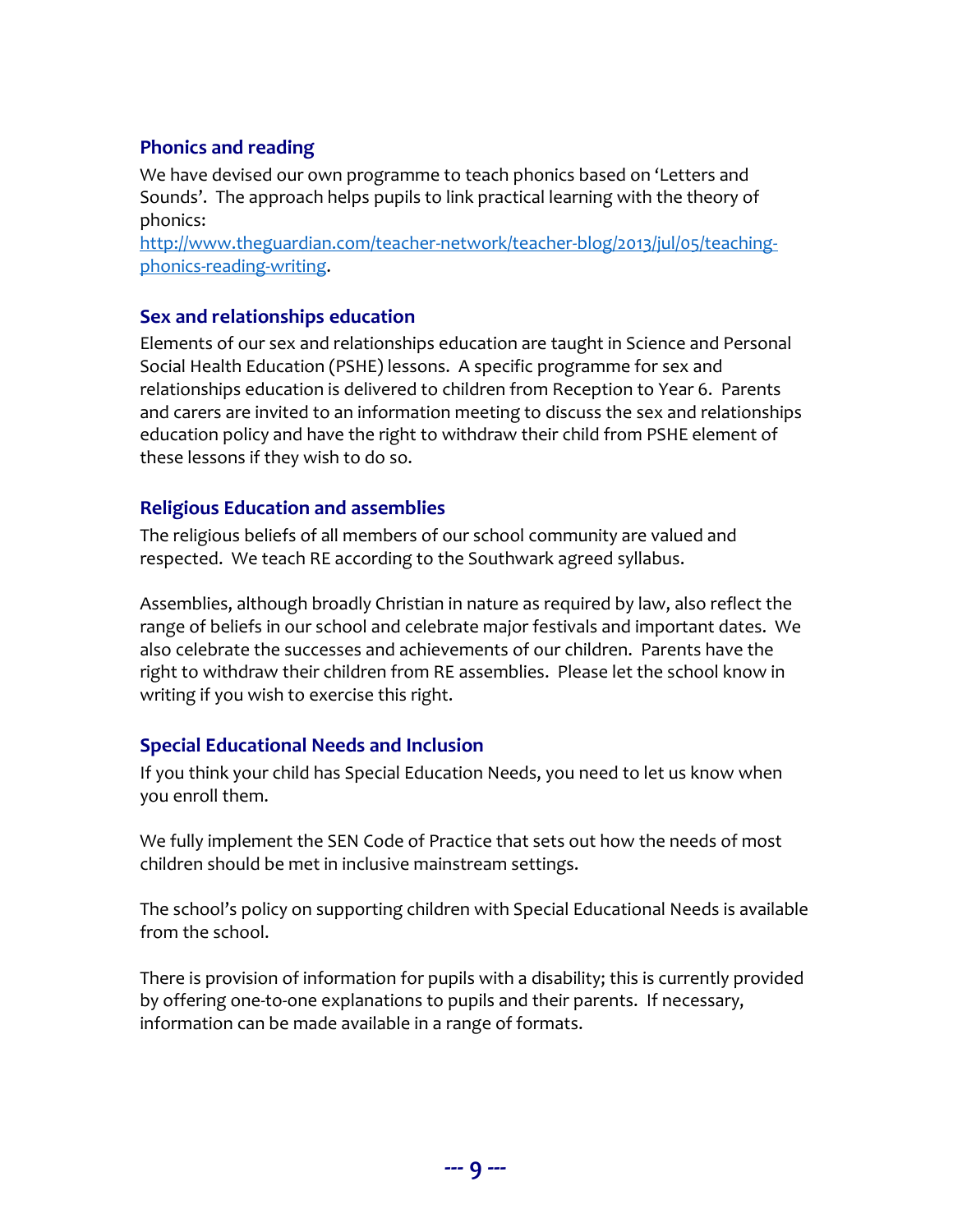## **Phonics and reading**

We have devised our own programme to teach phonics based on 'Letters and Sounds'. The approach helps pupils to link practical learning with the theory of phonics:

[http://www.theguardian.com/teacher-network/teacher-blog/2013/jul/05/teaching](http://www.theguardian.com/teacher-network/teacher-blog/2013/jul/05/teaching-phonics-reading-writing)[phonics-reading-writing.](http://www.theguardian.com/teacher-network/teacher-blog/2013/jul/05/teaching-phonics-reading-writing)

#### **Sex and relationships education**

Elements of our sex and relationships education are taught in Science and Personal Social Health Education (PSHE) lessons. A specific programme for sex and relationships education is delivered to children from Reception to Year 6. Parents and carers are invited to an information meeting to discuss the sex and relationships education policy and have the right to withdraw their child from PSHE element of these lessons if they wish to do so.

#### **Religious Education and assemblies**

The religious beliefs of all members of our school community are valued and respected. We teach RE according to the Southwark agreed syllabus.

Assemblies, although broadly Christian in nature as required by law, also reflect the range of beliefs in our school and celebrate major festivals and important dates. We also celebrate the successes and achievements of our children. Parents have the right to withdraw their children from RE assemblies. Please let the school know in writing if you wish to exercise this right.

#### **Special Educational Needs and Inclusion**

If you think your child has Special Education Needs, you need to let us know when you enroll them.

We fully implement the SEN Code of Practice that sets out how the needs of most children should be met in inclusive mainstream settings.

The school's policy on supporting children with Special Educational Needs is available from the school.

There is provision of information for pupils with a disability; this is currently provided by offering one-to-one explanations to pupils and their parents. If necessary, information can be made available in a range of formats.